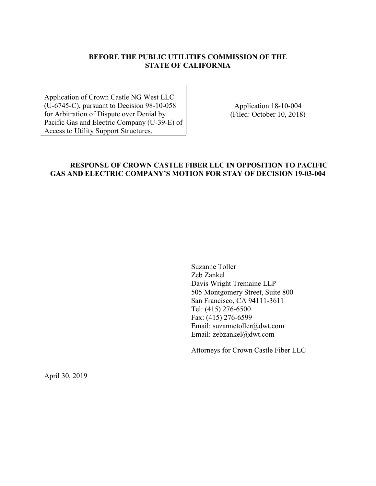## **BEFORE THE PUBLIC UTILITIES COMMISSION OF THE STATE OF CALIFORNIA**

Application of Crown Castle NG West LLC (U-6745-C), pursuant to Decision 98-10-058 for Arbitration of Dispute over Denial by Pacific Gas and Electric Company (U-39-E) of Access to Utility Support Structures.

Application 18-10-004 (Filed: October 10, 2018)

# **RESPONSE OF CROWN CASTLE FIBER LLC IN OPPOSITION TO PACIFIC GAS AND ELECTRIC COMPANY'S MOTION FOR STAY OF DECISION 19-03-004**

Suzanne Toller Zeb Zankel Davis Wright Tremaine LLP 505 Montgomery Street, Suite 800 San Francisco, CA 94111-3611 Tel: (415) 276-6500 Fax: (415) 276-6599 Email: suzannetoller@dwt.com Email: zebzankel@dwt.com

Attorneys for Crown Castle Fiber LLC

April 30, 2019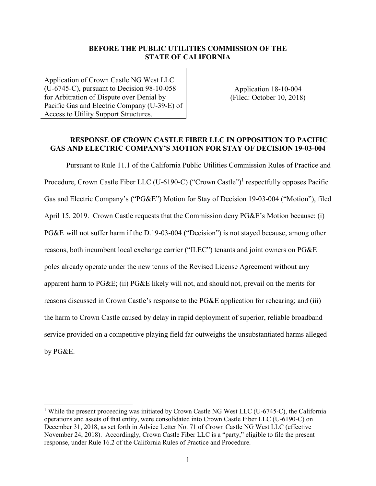### **BEFORE THE PUBLIC UTILITIES COMMISSION OF THE STATE OF CALIFORNIA**

Application of Crown Castle NG West LLC (U-6745-C), pursuant to Decision 98-10-058 for Arbitration of Dispute over Denial by Pacific Gas and Electric Company (U-39-E) of Access to Utility Support Structures.

Application 18-10-004 (Filed: October 10, 2018)

### **RESPONSE OF CROWN CASTLE FIBER LLC IN OPPOSITION TO PACIFIC GAS AND ELECTRIC COMPANY'S MOTION FOR STAY OF DECISION 19-03-004**

Pursuant to Rule 11.1 of the California Public Utilities Commission Rules of Practice and Procedure, Crown Castle Fiber LLC (U-6190-C) ("Crown Castle")<sup>1</sup> respectfully opposes Pacific Gas and Electric Company's ("PG&E") Motion for Stay of Decision 19-03-004 ("Motion"), filed April 15, 2019. Crown Castle requests that the Commission deny PG&E's Motion because: (i) PG&E will not suffer harm if the D.19-03-004 ("Decision") is not stayed because, among other reasons, both incumbent local exchange carrier ("ILEC") tenants and joint owners on PG&E poles already operate under the new terms of the Revised License Agreement without any apparent harm to PG&E; (ii) PG&E likely will not, and should not, prevail on the merits for reasons discussed in Crown Castle's response to the PG&E application for rehearing; and (iii) the harm to Crown Castle caused by delay in rapid deployment of superior, reliable broadband service provided on a competitive playing field far outweighs the unsubstantiated harms alleged by PG&E.

<sup>&</sup>lt;sup>1</sup> While the present proceeding was initiated by Crown Castle NG West LLC (U-6745-C), the California operations and assets of that entity, were consolidated into Crown Castle Fiber LLC (U-6190-C) on December 31, 2018, as set forth in Advice Letter No. 71 of Crown Castle NG West LLC (effective November 24, 2018). Accordingly, Crown Castle Fiber LLC is a "party," eligible to file the present response, under Rule 16.2 of the California Rules of Practice and Procedure.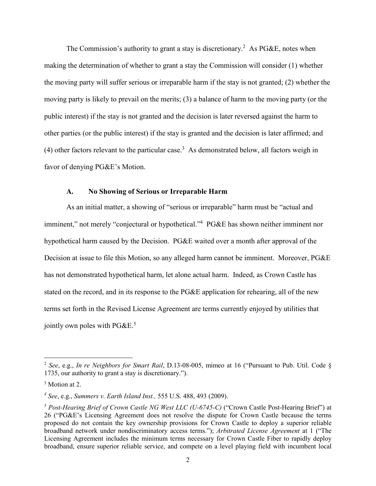The Commission's authority to grant a stay is discretionary.<sup>2</sup> As PG&E, notes when making the determination of whether to grant a stay the Commission will consider (1) whether the moving party will suffer serious or irreparable harm if the stay is not granted; (2) whether the moving party is likely to prevail on the merits; (3) a balance of harm to the moving party (or the public interest) if the stay is not granted and the decision is later reversed against the harm to other parties (or the public interest) if the stay is granted and the decision is later affirmed; and (4) other factors relevant to the particular case.<sup>3</sup> As demonstrated below, all factors weigh in favor of denying PG&E's Motion.

#### **A. No Showing of Serious or Irreparable Harm**

As an initial matter, a showing of "serious or irreparable" harm must be "actual and imminent," not merely "conjectural or hypothetical."<sup>4</sup> PG&E has shown neither imminent nor hypothetical harm caused by the Decision. PG&E waited over a month after approval of the Decision at issue to file this Motion, so any alleged harm cannot be imminent. Moreover, PG&E has not demonstrated hypothetical harm, let alone actual harm. Indeed, as Crown Castle has stated on the record, and in its response to the PG&E application for rehearing, all of the new terms set forth in the Revised License Agreement are terms currently enjoyed by utilities that jointly own poles with  $PGE<sup>5</sup>$ 

<sup>2</sup>  *See*, e.g., *In re Neighbors for Smart Rail*, D.13-08-005, mimeo at 16 ("Pursuant to Pub. Util. Code § 1735, our authority to grant a stay is discretionary.").

<sup>&</sup>lt;sup>3</sup> Motion at 2.

*<sup>4</sup> See*, e.g., *Summers v. Earth Island Inst.,* 555 U.S. 488, 493 (2009).

<sup>5</sup> *Post-Hearing Brief of Crown Castle NG West LLC (U-6745-C)* ("Crown Castle Post-Hearing Brief") at 26 ("PG&E's Licensing Agreement does not resolve the dispute for Crown Castle because the terms proposed do not contain the key ownership provisions for Crown Castle to deploy a superior reliable broadband network under nondiscriminatory access terms."); *Arbitrated License Agreement* at 1 ("The Licensing Agreement includes the minimum terms necessary for Crown Castle Fiber to rapidly deploy broadband, ensure superior reliable service, and compete on a level playing field with incumbent local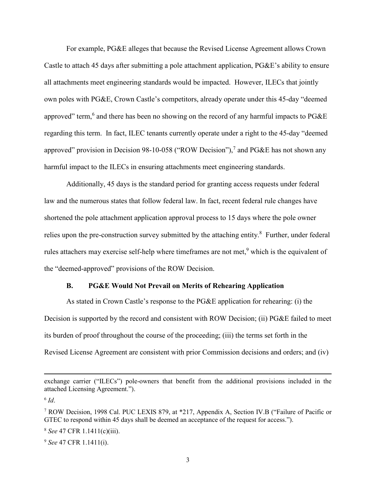For example, PG&E alleges that because the Revised License Agreement allows Crown Castle to attach 45 days after submitting a pole attachment application, PG&E's ability to ensure all attachments meet engineering standards would be impacted. However, ILECs that jointly own poles with PG&E, Crown Castle's competitors, already operate under this 45-day "deemed approved" term,<sup>6</sup> and there has been no showing on the record of any harmful impacts to PG&E regarding this term. In fact, ILEC tenants currently operate under a right to the 45-day "deemed approved" provision in Decision 98-10-058 ("ROW Decision"),<sup>7</sup> and PG&E has not shown any harmful impact to the ILECs in ensuring attachments meet engineering standards.

Additionally, 45 days is the standard period for granting access requests under federal law and the numerous states that follow federal law. In fact, recent federal rule changes have shortened the pole attachment application approval process to 15 days where the pole owner relies upon the pre-construction survey submitted by the attaching entity.<sup>8</sup> Further, under federal rules attachers may exercise self-help where timeframes are not met,<sup>9</sup> which is the equivalent of the "deemed-approved" provisions of the ROW Decision.

#### **B. PG&E Would Not Prevail on Merits of Rehearing Application**

As stated in Crown Castle's response to the PG&E application for rehearing: (i) the Decision is supported by the record and consistent with ROW Decision; (ii) PG&E failed to meet its burden of proof throughout the course of the proceeding; (iii) the terms set forth in the Revised License Agreement are consistent with prior Commission decisions and orders; and (iv)

<sup>8</sup> *See* 47 CFR 1.1411(c)(iii).

<sup>9</sup> *See* 47 CFR 1.1411(i).

exchange carrier ("ILECs") pole-owners that benefit from the additional provisions included in the attached Licensing Agreement.").

<sup>6</sup> *Id*.

<sup>&</sup>lt;sup>7</sup> ROW Decision, 1998 Cal. PUC LEXIS 879, at \*217, Appendix A, Section IV.B ("Failure of Pacific or GTEC to respond within 45 days shall be deemed an acceptance of the request for access.").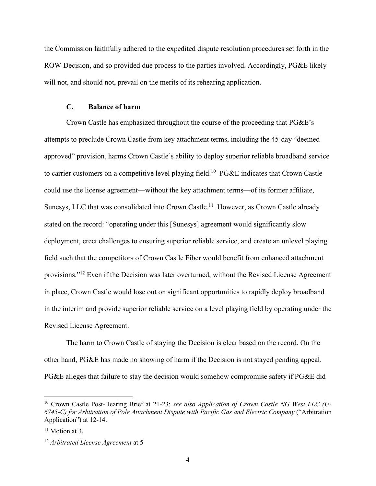the Commission faithfully adhered to the expedited dispute resolution procedures set forth in the ROW Decision, and so provided due process to the parties involved. Accordingly, PG&E likely will not, and should not, prevail on the merits of its rehearing application.

### **C. Balance of harm**

Crown Castle has emphasized throughout the course of the proceeding that PG&E's attempts to preclude Crown Castle from key attachment terms, including the 45-day "deemed approved" provision, harms Crown Castle's ability to deploy superior reliable broadband service to carrier customers on a competitive level playing field.<sup>10</sup> PG&E indicates that Crown Castle could use the license agreement—without the key attachment terms—of its former affiliate, Sunesys, LLC that was consolidated into Crown Castle.<sup>11</sup> However, as Crown Castle already stated on the record: "operating under this [Sunesys] agreement would significantly slow deployment, erect challenges to ensuring superior reliable service, and create an unlevel playing field such that the competitors of Crown Castle Fiber would benefit from enhanced attachment provisions."<sup>12</sup> Even if the Decision was later overturned, without the Revised License Agreement in place, Crown Castle would lose out on significant opportunities to rapidly deploy broadband in the interim and provide superior reliable service on a level playing field by operating under the Revised License Agreement.

The harm to Crown Castle of staying the Decision is clear based on the record. On the other hand, PG&E has made no showing of harm if the Decision is not stayed pending appeal. PG&E alleges that failure to stay the decision would somehow compromise safety if PG&E did

<sup>&</sup>lt;sup>10</sup> Crown Castle Post-Hearing Brief at 21-23; see also Application of Crown Castle NG West LLC (U-*6745-C) for Arbitration of Pole Attachment Dispute with Pacific Gas and Electric Company* ("Arbitration Application") at 12-14.

<sup>&</sup>lt;sup>11</sup> Motion at 3.

<sup>12</sup> *Arbitrated License Agreement* at 5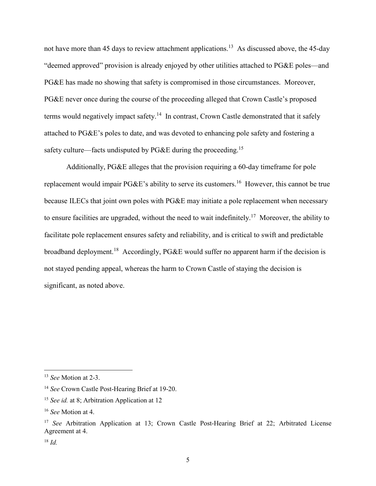not have more than 45 days to review attachment applications.<sup>13</sup> As discussed above, the 45-day "deemed approved" provision is already enjoyed by other utilities attached to PG&E poles—and PG&E has made no showing that safety is compromised in those circumstances. Moreover, PG&E never once during the course of the proceeding alleged that Crown Castle's proposed terms would negatively impact safety.<sup>14</sup> In contrast, Crown Castle demonstrated that it safely attached to PG&E's poles to date, and was devoted to enhancing pole safety and fostering a safety culture—facts undisputed by PG&E during the proceeding.<sup>15</sup>

Additionally, PG&E alleges that the provision requiring a 60-day timeframe for pole replacement would impair PG&E's ability to serve its customers.<sup>16</sup> However, this cannot be true because ILECs that joint own poles with PG&E may initiate a pole replacement when necessary to ensure facilities are upgraded, without the need to wait indefinitely.<sup>17</sup> Moreover, the ability to facilitate pole replacement ensures safety and reliability, and is critical to swift and predictable broadband deployment.<sup>18</sup> Accordingly, PG&E would suffer no apparent harm if the decision is not stayed pending appeal, whereas the harm to Crown Castle of staying the decision is significant, as noted above.

<sup>13</sup> *See* Motion at 2-3.

<sup>14</sup> *See* Crown Castle Post-Hearing Brief at 19-20.

<sup>&</sup>lt;sup>15</sup> *See id.* at 8; Arbitration Application at 12

<sup>16</sup> *See* Motion at 4.

<sup>17</sup> *See* Arbitration Application at 13; Crown Castle Post-Hearing Brief at 22; Arbitrated License Agreement at 4.

<sup>18</sup> *Id.*